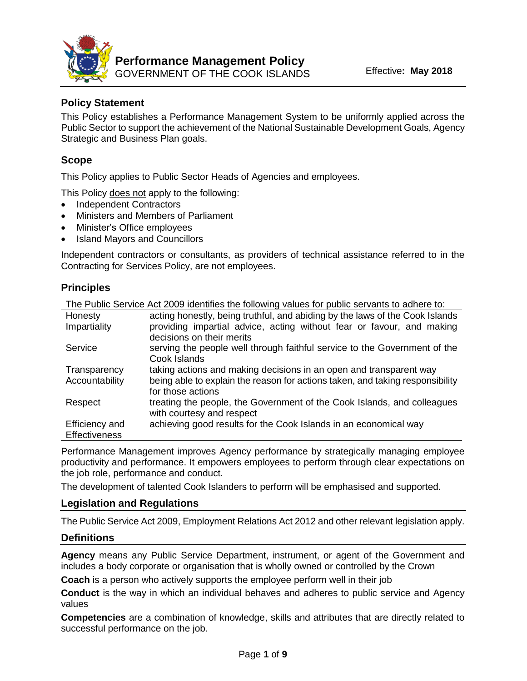

# **Policy Statement**

This Policy establishes a Performance Management System to be uniformly applied across the Public Sector to support the achievement of the National Sustainable Development Goals, Agency Strategic and Business Plan goals.

# **Scope**

This Policy applies to Public Sector Heads of Agencies and employees.

This Policy does not apply to the following:

- Independent Contractors
- Ministers and Members of Parliament
- Minister's Office employees
- Island Mayors and Councillors

Independent contractors or consultants, as providers of technical assistance referred to in the Contracting for Services Policy, are not employees.

### **Principles**

|                      | The Public Service Act 2009 identifies the following values for public servants to adhere to: |
|----------------------|-----------------------------------------------------------------------------------------------|
| Honesty              | acting honestly, being truthful, and abiding by the laws of the Cook Islands                  |
| Impartiality         | providing impartial advice, acting without fear or favour, and making                         |
|                      | decisions on their merits                                                                     |
| Service              | serving the people well through faithful service to the Government of the                     |
|                      | Cook Islands                                                                                  |
| Transparency         | taking actions and making decisions in an open and transparent way                            |
| Accountability       | being able to explain the reason for actions taken, and taking responsibility                 |
|                      | for those actions                                                                             |
| Respect              | treating the people, the Government of the Cook Islands, and colleagues                       |
|                      | with courtesy and respect                                                                     |
| Efficiency and       | achieving good results for the Cook Islands in an economical way                              |
| <b>Effectiveness</b> |                                                                                               |

Performance Management improves Agency performance by strategically managing employee productivity and performance. It empowers employees to perform through clear expectations on the job role, performance and conduct.

The development of talented Cook Islanders to perform will be emphasised and supported.

### **Legislation and Regulations**

The Public Service Act 2009, Employment Relations Act 2012 and other relevant legislation apply.

### **Definitions**

**Agency** means any Public Service Department, instrument, or agent of the Government and includes a body corporate or organisation that is wholly owned or controlled by the Crown

**Coach** is a person who actively supports the employee perform well in their job

**Conduct** is the way in which an individual behaves and adheres to public service and Agency values

**Competencies** are a combination of knowledge, skills and attributes that are directly related to successful performance on the job.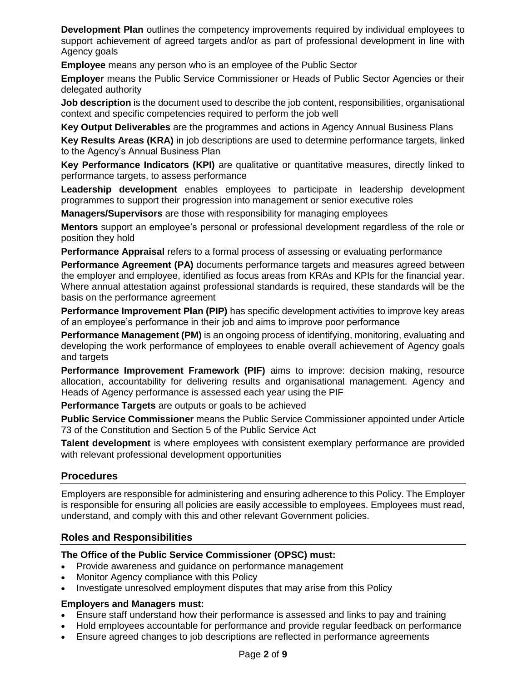**Development Plan** outlines the competency improvements required by individual employees to support achievement of agreed targets and/or as part of professional development in line with Agency goals

**Employee** means any person who is an employee of the Public Sector

**Employer** means the Public Service Commissioner or Heads of Public Sector Agencies or their delegated authority

**Job description** is the document used to describe the job content, responsibilities, organisational context and specific competencies required to perform the job well

**Key Output Deliverables** are the programmes and actions in Agency Annual Business Plans

**Key Results Areas (KRA)** in job descriptions are used to determine performance targets, linked to the Agency's Annual Business Plan

**Key Performance Indicators (KPI)** are qualitative or quantitative measures, directly linked to performance targets, to assess performance

**Leadership development** enables employees to participate in leadership development programmes to support their progression into management or senior executive roles

**Managers/Supervisors** are those with responsibility for managing employees

**Mentors** support an employee's personal or professional development regardless of the role or position they hold

**Performance Appraisal** refers to a formal process of assessing or evaluating performance

**Performance Agreement (PA)** documents performance targets and measures agreed between the employer and employee, identified as focus areas from KRAs and KPIs for the financial year. Where annual attestation against professional standards is required, these standards will be the basis on the performance agreement

**Performance Improvement Plan (PIP)** has specific development activities to improve key areas of an employee's performance in their job and aims to improve poor performance

**Performance Management (PM)** is an ongoing process of identifying, monitoring, evaluating and developing the work performance of employees to enable overall achievement of Agency goals and targets

**Performance Improvement Framework (PIF)** aims to improve: decision making, resource allocation, accountability for delivering results and organisational management. Agency and Heads of Agency performance is assessed each year using the PIF

**Performance Targets** are outputs or goals to be achieved

**Public Service Commissioner** means the Public Service Commissioner appointed under Article 73 of the Constitution and Section 5 of the Public Service Act

**Talent development** is where employees with consistent exemplary performance are provided with relevant professional development opportunities

### **Procedures**

Employers are responsible for administering and ensuring adherence to this Policy. The Employer is responsible for ensuring all policies are easily accessible to employees. Employees must read, understand, and comply with this and other relevant Government policies.

### **Roles and Responsibilities**

### **The Office of the Public Service Commissioner (OPSC) must:**

- Provide awareness and guidance on performance management
- Monitor Agency compliance with this Policy
- Investigate unresolved employment disputes that may arise from this Policy

### **Employers and Managers must:**

- Ensure staff understand how their performance is assessed and links to pay and training
- Hold employees accountable for performance and provide regular feedback on performance
- Ensure agreed changes to job descriptions are reflected in performance agreements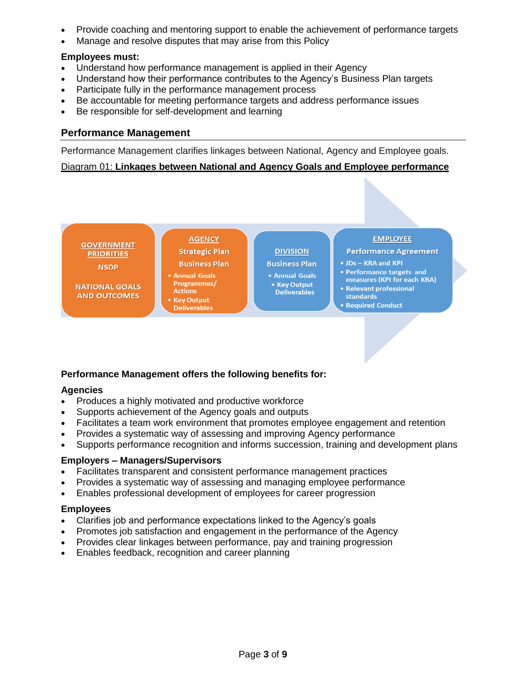- Provide coaching and mentoring support to enable the achievement of performance targets
- Manage and resolve disputes that may arise from this Policy

### **Employees must:**

- Understand how performance management is applied in their Agency
- Understand how their performance contributes to the Agency's Business Plan targets
- Participate fully in the performance management process
- Be accountable for meeting performance targets and address performance issues
- Be responsible for self-development and learning

### **Performance Management**

Performance Management clarifies linkages between National, Agency and Employee goals.

### Diagram 01: **Linkages between National and Agency Goals and Employee performance**



### **Performance Management offers the following benefits for:**

### **Agencies**

- Produces a highly motivated and productive workforce
- Supports achievement of the Agency goals and outputs
- Facilitates a team work environment that promotes employee engagement and retention
- Provides a systematic way of assessing and improving Agency performance
- Supports performance recognition and informs succession, training and development plans

### **Employers – Managers/Supervisors**

- Facilitates transparent and consistent performance management practices
- Provides a systematic way of assessing and managing employee performance
- Enables professional development of employees for career progression

### **Employees**

- Clarifies job and performance expectations linked to the Agency's goals
- Promotes job satisfaction and engagement in the performance of the Agency
- Provides clear linkages between performance, pay and training progression
- Enables feedback, recognition and career planning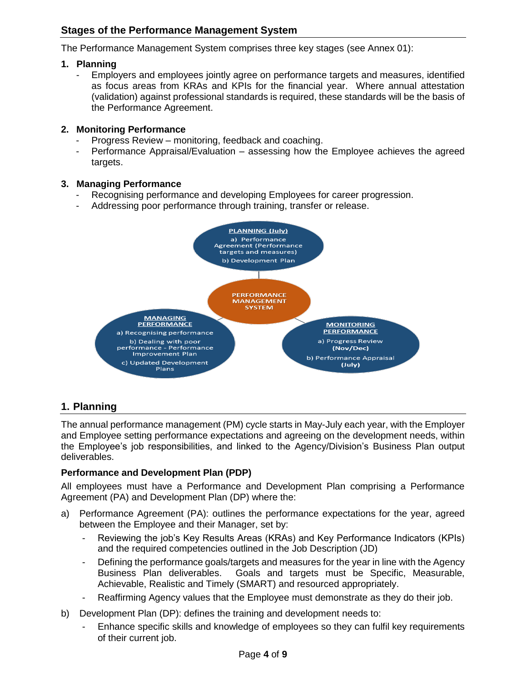# **Stages of the Performance Management System**

The Performance Management System comprises three key stages (see Annex 01):

### **1. Planning**

Employers and employees jointly agree on performance targets and measures, identified as focus areas from KRAs and KPIs for the financial year. Where annual attestation (validation) against professional standards is required, these standards will be the basis of the Performance Agreement.

### **2. Monitoring Performance**

- Progress Review monitoring, feedback and coaching.
- Performance Appraisal/Evaluation assessing how the Employee achieves the agreed targets.

### **3. Managing Performance**

- Recognising performance and developing Employees for career progression.
- Addressing poor performance through training, transfer or release.



# **1. Planning**

The annual performance management (PM) cycle starts in May-July each year, with the Employer and Employee setting performance expectations and agreeing on the development needs, within the Employee's job responsibilities, and linked to the Agency/Division's Business Plan output deliverables.

### **Performance and Development Plan (PDP)**

All employees must have a Performance and Development Plan comprising a Performance Agreement (PA) and Development Plan (DP) where the:

- a) Performance Agreement (PA): outlines the performance expectations for the year, agreed between the Employee and their Manager, set by:
	- Reviewing the job's Key Results Areas (KRAs) and Key Performance Indicators (KPIs) and the required competencies outlined in the Job Description (JD)
	- Defining the performance goals/targets and measures for the year in line with the Agency Business Plan deliverables. Goals and targets must be Specific, Measurable, Achievable, Realistic and Timely (SMART) and resourced appropriately.
	- Reaffirming Agency values that the Employee must demonstrate as they do their job.
- b) Development Plan (DP): defines the training and development needs to:
	- Enhance specific skills and knowledge of employees so they can fulfil key requirements of their current job.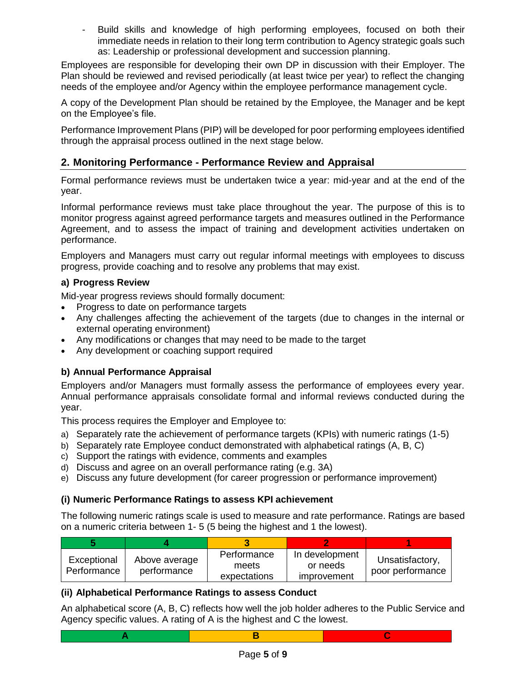- Build skills and knowledge of high performing employees, focused on both their immediate needs in relation to their long term contribution to Agency strategic goals such as: Leadership or professional development and succession planning.

Employees are responsible for developing their own DP in discussion with their Employer. The Plan should be reviewed and revised periodically (at least twice per year) to reflect the changing needs of the employee and/or Agency within the employee performance management cycle.

A copy of the Development Plan should be retained by the Employee, the Manager and be kept on the Employee's file.

Performance Improvement Plans (PIP) will be developed for poor performing employees identified through the appraisal process outlined in the next stage below.

# **2. Monitoring Performance - Performance Review and Appraisal**

Formal performance reviews must be undertaken twice a year: mid-year and at the end of the year.

Informal performance reviews must take place throughout the year. The purpose of this is to monitor progress against agreed performance targets and measures outlined in the Performance Agreement, and to assess the impact of training and development activities undertaken on performance.

Employers and Managers must carry out regular informal meetings with employees to discuss progress, provide coaching and to resolve any problems that may exist.

### **a) Progress Review**

Mid-year progress reviews should formally document:

- Progress to date on performance targets
- Any challenges affecting the achievement of the targets (due to changes in the internal or external operating environment)
- Any modifications or changes that may need to be made to the target
- Any development or coaching support required

### **b) Annual Performance Appraisal**

Employers and/or Managers must formally assess the performance of employees every year. Annual performance appraisals consolidate formal and informal reviews conducted during the year.

This process requires the Employer and Employee to:

- a) Separately rate the achievement of performance targets (KPIs) with numeric ratings (1-5)
- b) Separately rate Employee conduct demonstrated with alphabetical ratings (A, B, C)
- c) Support the ratings with evidence, comments and examples
- d) Discuss and agree on an overall performance rating (e.g. 3A)
- e) Discuss any future development (for career progression or performance improvement)

### **(i) Numeric Performance Ratings to assess KPI achievement**

The following numeric ratings scale is used to measure and rate performance. Ratings are based on a numeric criteria between 1- 5 (5 being the highest and 1 the lowest).

| Exceptional<br>Performance | Above average<br>performance | Performance<br>meets<br>expectations | In development<br>or needs<br>improvement | Unsatisfactory,<br>poor performance |
|----------------------------|------------------------------|--------------------------------------|-------------------------------------------|-------------------------------------|

# **(ii) Alphabetical Performance Ratings to assess Conduct**

An alphabetical score (A, B, C) reflects how well the job holder adheres to the Public Service and Agency specific values. A rating of A is the highest and C the lowest.



**A B C**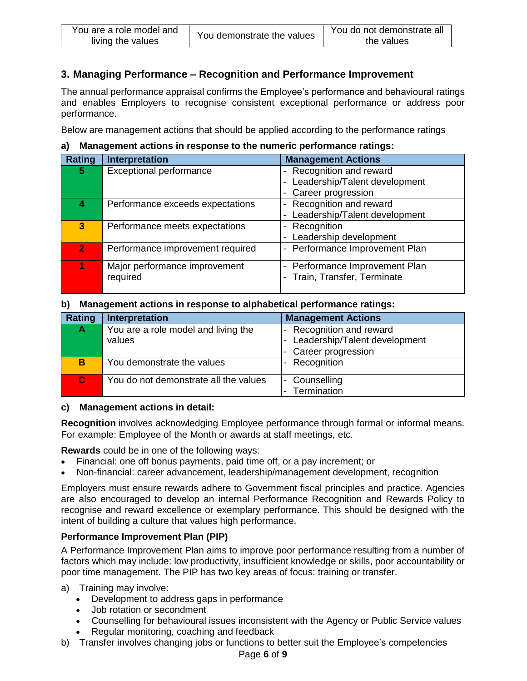# **3. Managing Performance – Recognition and Performance Improvement**

The annual performance appraisal confirms the Employee's performance and behavioural ratings and enables Employers to recognise consistent exceptional performance or address poor performance.

Below are management actions that should be applied according to the performance ratings

| Rating         | Interpretation                   | <b>Management Actions</b>                                 |
|----------------|----------------------------------|-----------------------------------------------------------|
| 5.             | <b>Exceptional performance</b>   | Recognition and reward<br>$\overline{\phantom{a}}$        |
|                |                                  | Leadership/Talent development<br>$\overline{\phantom{a}}$ |
|                |                                  | Career progression                                        |
|                | Performance exceeds expectations | Recognition and reward<br>$\overline{\phantom{a}}$        |
|                |                                  | Leadership/Talent development                             |
| 3              | Performance meets expectations   | Recognition<br>$\overline{\phantom{a}}$                   |
|                |                                  | Leadership development                                    |
| $\overline{2}$ | Performance improvement required | Performance Improvement Plan<br>$\overline{\phantom{a}}$  |
|                | Major performance improvement    | Performance Improvement Plan<br>$\overline{\phantom{a}}$  |
|                | required                         | Train, Transfer, Terminate                                |
|                |                                  |                                                           |

### **a) Management actions in response to the numeric performance ratings:**

#### **b) Management actions in response to alphabetical performance ratings:**

| Rating       | Interpretation                                | <b>Management Actions</b>                                                           |
|--------------|-----------------------------------------------|-------------------------------------------------------------------------------------|
| A            | You are a role model and living the<br>values | Recognition and reward<br>$\overline{\phantom{a}}$<br>Leadership/Talent development |
|              |                                               | - Career progression                                                                |
| B            | You demonstrate the values                    | Recognition<br>$\overline{\phantom{a}}$                                             |
| $\mathbf{C}$ | You do not demonstrate all the values         | Counselling<br>$\overline{\phantom{a}}$<br>Termination                              |

### **c) Management actions in detail:**

**Recognition** involves acknowledging Employee performance through formal or informal means. For example: Employee of the Month or awards at staff meetings, etc.

**Rewards** could be in one of the following ways:

- Financial: one off bonus payments, paid time off, or a pay increment; or
- Non-financial: career advancement, leadership/management development, recognition

Employers must ensure rewards adhere to Government fiscal principles and practice. Agencies are also encouraged to develop an internal Performance Recognition and Rewards Policy to recognise and reward excellence or exemplary performance. This should be designed with the intent of building a culture that values high performance.

### **Performance Improvement Plan (PIP)**

A Performance Improvement Plan aims to improve poor performance resulting from a number of factors which may include: low productivity, insufficient knowledge or skills, poor accountability or poor time management. The PIP has two key areas of focus: training or transfer.

- a) Training may involve:
	- Development to address gaps in performance
	- Job rotation or secondment
	- Counselling for behavioural issues inconsistent with the Agency or Public Service values
	- Regular monitoring, coaching and feedback
- b) Transfer involves changing jobs or functions to better suit the Employee's competencies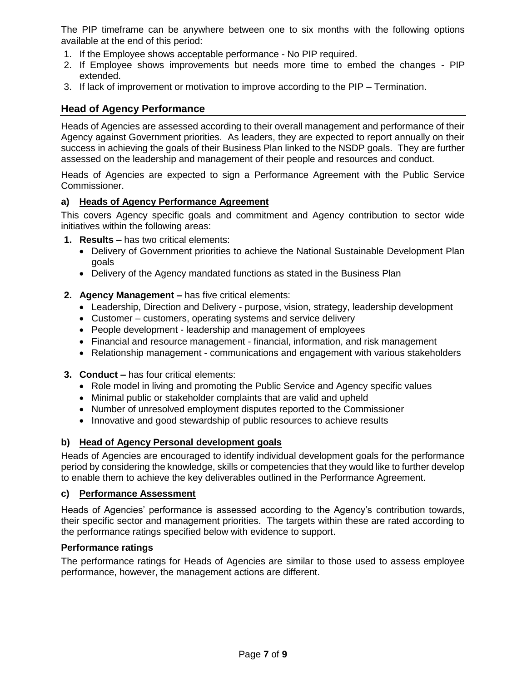The PIP timeframe can be anywhere between one to six months with the following options available at the end of this period:

- 1. If the Employee shows acceptable performance No PIP required.
- 2. If Employee shows improvements but needs more time to embed the changes PIP extended.
- 3. If lack of improvement or motivation to improve according to the PIP Termination.

# **Head of Agency Performance**

Heads of Agencies are assessed according to their overall management and performance of their Agency against Government priorities. As leaders, they are expected to report annually on their success in achieving the goals of their Business Plan linked to the NSDP goals. They are further assessed on the leadership and management of their people and resources and conduct.

Heads of Agencies are expected to sign a Performance Agreement with the Public Service Commissioner.

### **a) Heads of Agency Performance Agreement**

This covers Agency specific goals and commitment and Agency contribution to sector wide initiatives within the following areas:

- **1. Results –** has two critical elements:
	- Delivery of Government priorities to achieve the National Sustainable Development Plan goals
	- Delivery of the Agency mandated functions as stated in the Business Plan
- **2. Agency Management –** has five critical elements:
	- Leadership, Direction and Delivery purpose, vision, strategy, leadership development
	- Customer customers, operating systems and service delivery
	- People development leadership and management of employees
	- Financial and resource management financial, information, and risk management
	- Relationship management communications and engagement with various stakeholders
- **3. Conduct –** has four critical elements:
	- Role model in living and promoting the Public Service and Agency specific values
	- Minimal public or stakeholder complaints that are valid and upheld
	- Number of unresolved employment disputes reported to the Commissioner
	- Innovative and good stewardship of public resources to achieve results

### **b) Head of Agency Personal development goals**

Heads of Agencies are encouraged to identify individual development goals for the performance period by considering the knowledge, skills or competencies that they would like to further develop to enable them to achieve the key deliverables outlined in the Performance Agreement.

### **c) Performance Assessment**

Heads of Agencies' performance is assessed according to the Agency's contribution towards, their specific sector and management priorities. The targets within these are rated according to the performance ratings specified below with evidence to support.

#### **Performance ratings**

The performance ratings for Heads of Agencies are similar to those used to assess employee performance, however, the management actions are different.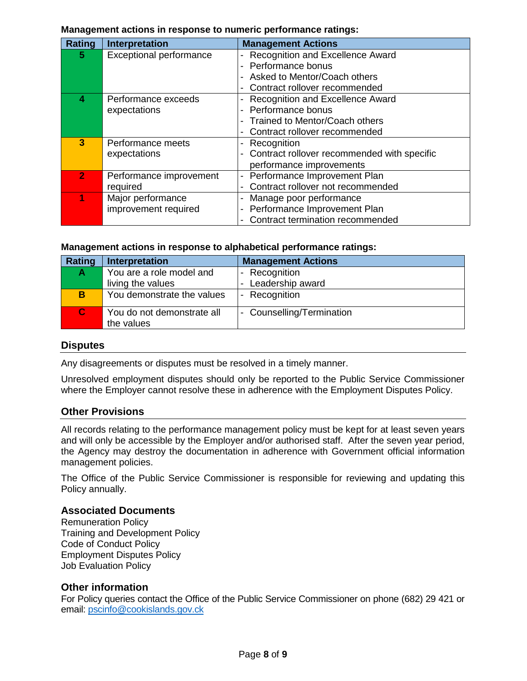#### **Management actions in response to numeric performance ratings:**

| Rating       | Interpretation                 | <b>Management Actions</b>                                |
|--------------|--------------------------------|----------------------------------------------------------|
| 5.           | <b>Exceptional performance</b> | Recognition and Excellence Award                         |
|              |                                | - Performance bonus                                      |
|              |                                | Asked to Mentor/Coach others                             |
|              |                                | Contract rollover recommended                            |
| 4            | Performance exceeds            | Recognition and Excellence Award                         |
|              | expectations                   | Performance bonus                                        |
|              |                                | Trained to Mentor/Coach others                           |
|              |                                | Contract rollover recommended                            |
| 3            | Performance meets              | Recognition                                              |
|              | expectations                   | Contract rollover recommended with specific              |
|              |                                | performance improvements                                 |
| $\mathbf{2}$ | Performance improvement        | Performance Improvement Plan<br>$\overline{\phantom{a}}$ |
|              | required                       | Contract rollover not recommended                        |
|              | Major performance              | Manage poor performance                                  |
|              | improvement required           | Performance Improvement Plan                             |
|              |                                | Contract termination recommended                         |

#### **Management actions in response to alphabetical performance ratings:**

| Rating       | Interpretation             | <b>Management Actions</b>                           |
|--------------|----------------------------|-----------------------------------------------------|
| A            | You are a role model and   | Recognition<br>-                                    |
|              | living the values          | Leadership award<br>$\overline{\phantom{a}}$        |
| B            | You demonstrate the values | Recognition<br>$\overline{\phantom{a}}$             |
| $\mathbf{C}$ | You do not demonstrate all | Counselling/Termination<br>$\overline{\phantom{a}}$ |
|              | the values                 |                                                     |

#### **Disputes**

Any disagreements or disputes must be resolved in a timely manner.

Unresolved employment disputes should only be reported to the Public Service Commissioner where the Employer cannot resolve these in adherence with the Employment Disputes Policy.

### **Other Provisions**

All records relating to the performance management policy must be kept for at least seven years and will only be accessible by the Employer and/or authorised staff. After the seven year period, the Agency may destroy the documentation in adherence with Government official information management policies.

The Office of the Public Service Commissioner is responsible for reviewing and updating this Policy annually.

#### **Associated Documents**

Remuneration Policy Training and Development Policy Code of Conduct Policy Employment Disputes Policy Job Evaluation Policy

### **Other information**

For Policy queries contact the Office of the Public Service Commissioner on phone (682) 29 421 or email: [pscinfo@cookislands.gov.ck](mailto:pscinfo@cookislands.gov.ck)